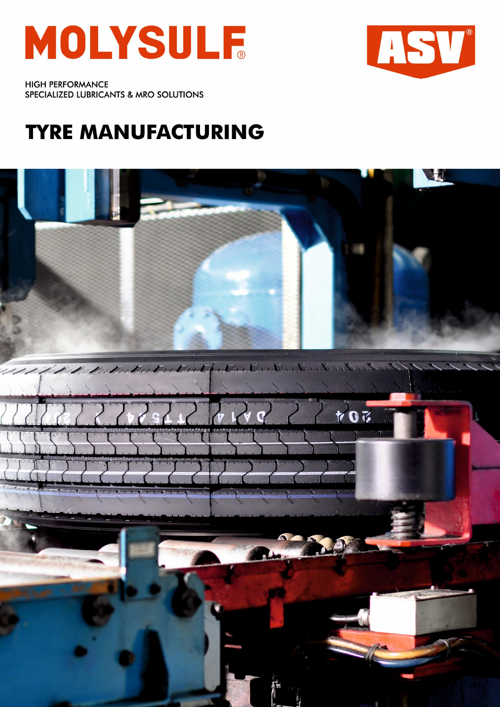



**HIGH PERFORMANCE** SPECIALIZED LUBRICANTS & MRO SOLUTIONS

# **TYRE MANUFACTURING**